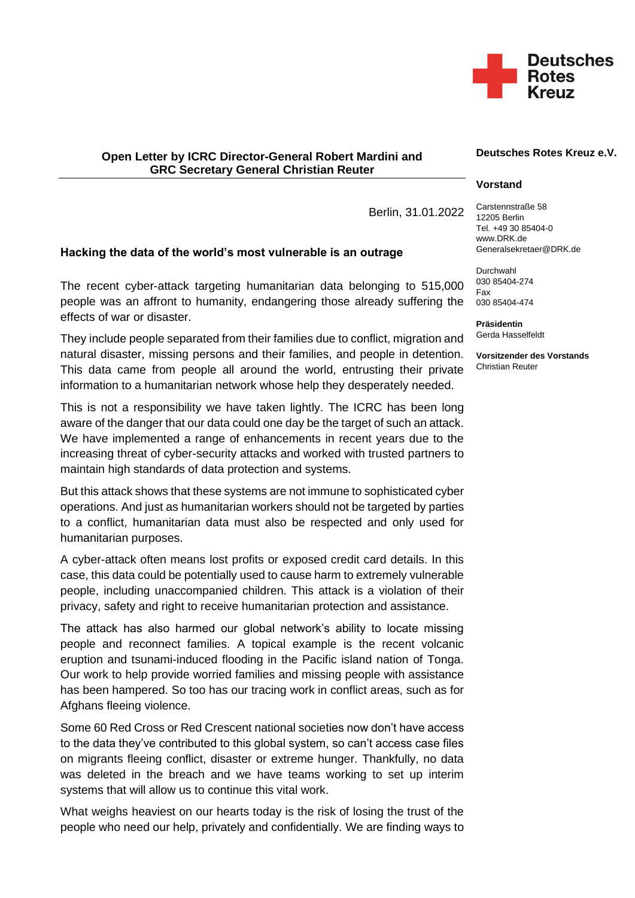

## **Open Letter by ICRC Director-General Robert Mardini and GRC Secretary General Christian Reuter**

Berlin, 31.01.2022

## **Hacking the data of the world's most vulnerable is an outrage**

The recent cyber-attack targeting humanitarian data belonging to 515,000 people was an affront to humanity, endangering those already suffering the effects of war or disaster.

They include people separated from their families due to conflict, migration and natural disaster, missing persons and their families, and people in detention. This data came from people all around the world, entrusting their private information to a humanitarian network whose help they desperately needed.

This is not a responsibility we have taken lightly. The ICRC has been long aware of the danger that our data could one day be the target of such an attack. We have implemented a range of enhancements in recent years due to the increasing threat of cyber-security attacks and worked with trusted partners to maintain high standards of data protection and systems.

But this attack shows that these systems are not immune to sophisticated cyber operations. And just as humanitarian workers should not be targeted by parties to a conflict, humanitarian data must also be respected and only used for humanitarian purposes.

A cyber-attack often means lost profits or exposed credit card details. In this case, this data could be potentially used to cause harm to extremely vulnerable people, including unaccompanied children. This attack is a violation of their privacy, safety and right to receive humanitarian protection and assistance.

The attack has also harmed our global network's ability to locate missing people and reconnect families. A topical example is the recent volcanic eruption and tsunami-induced flooding in the Pacific island nation of Tonga. Our work to help provide worried families and missing people with assistance has been hampered. So too has our tracing work in conflict areas, such as for Afghans fleeing violence.

Some 60 Red Cross or Red Crescent national societies now don't have access to the data they've contributed to this global system, so can't access case files on migrants fleeing conflict, disaster or extreme hunger. Thankfully, no data was deleted in the breach and we have teams working to set up interim systems that will allow us to continue this vital work.

What weighs heaviest on our hearts today is the risk of losing the trust of the people who need our help, privately and confidentially. We are finding ways to

## **Deutsches Rotes Kreuz e.V.**

## **Vorstand**

Carstennstraße 58 12205 Berlin Tel. +49 30 85404-0 www.DRK.de Generalsekretaer@DRK.de

Durchwahl 030 85404-274 Fax 030 85404-474

**Präsidentin** Gerda Hasselfeldt

**Vorsitzender des Vorstands** Christian Reuter